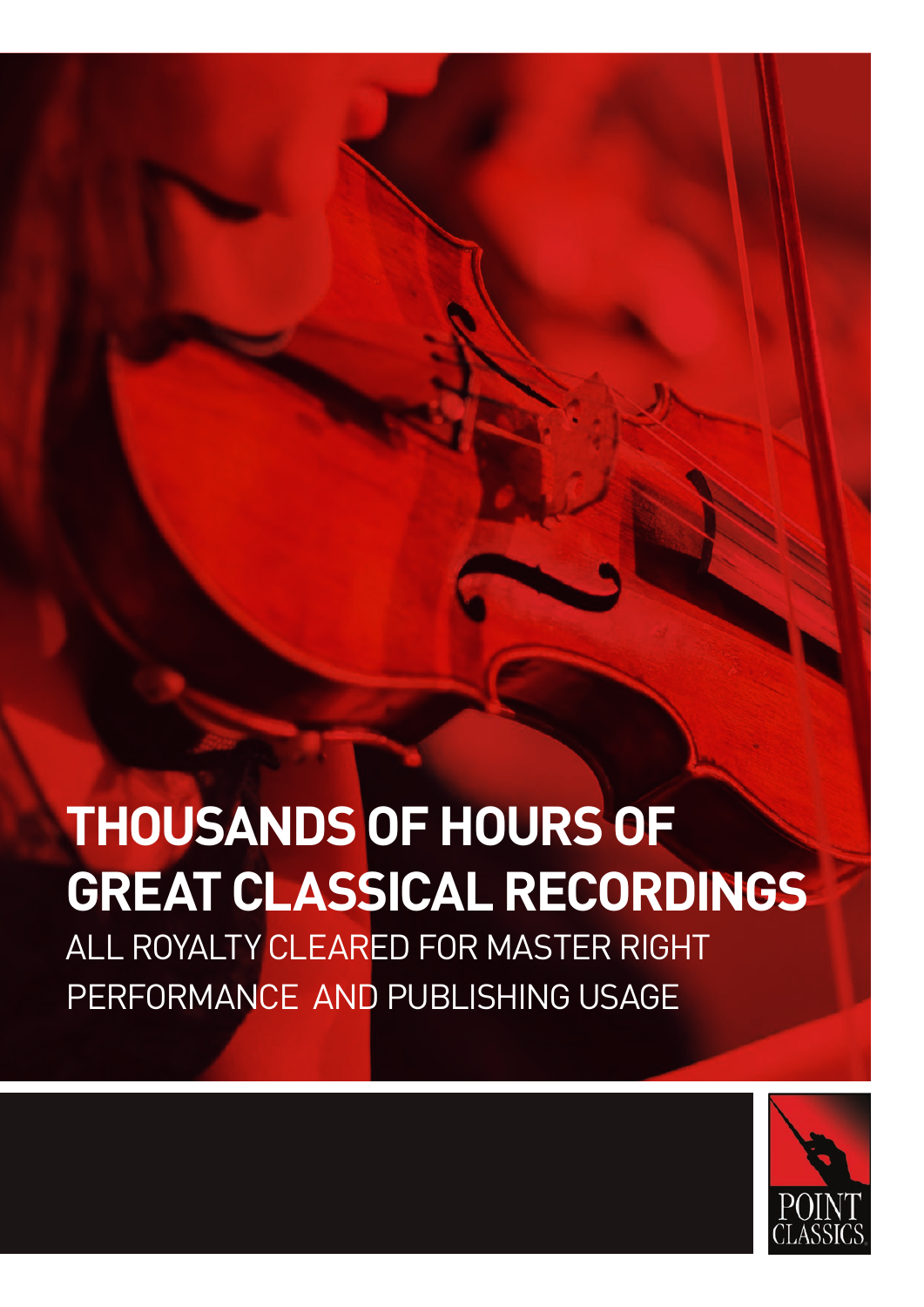# **THOUSANDS OF HOURS OF GREAT CLASSICAL RECORDINGS**

ALL ROYALTY CLEARED FOR MASTER RIGHT PERFORMANCE AND PUBLISHING USAGE

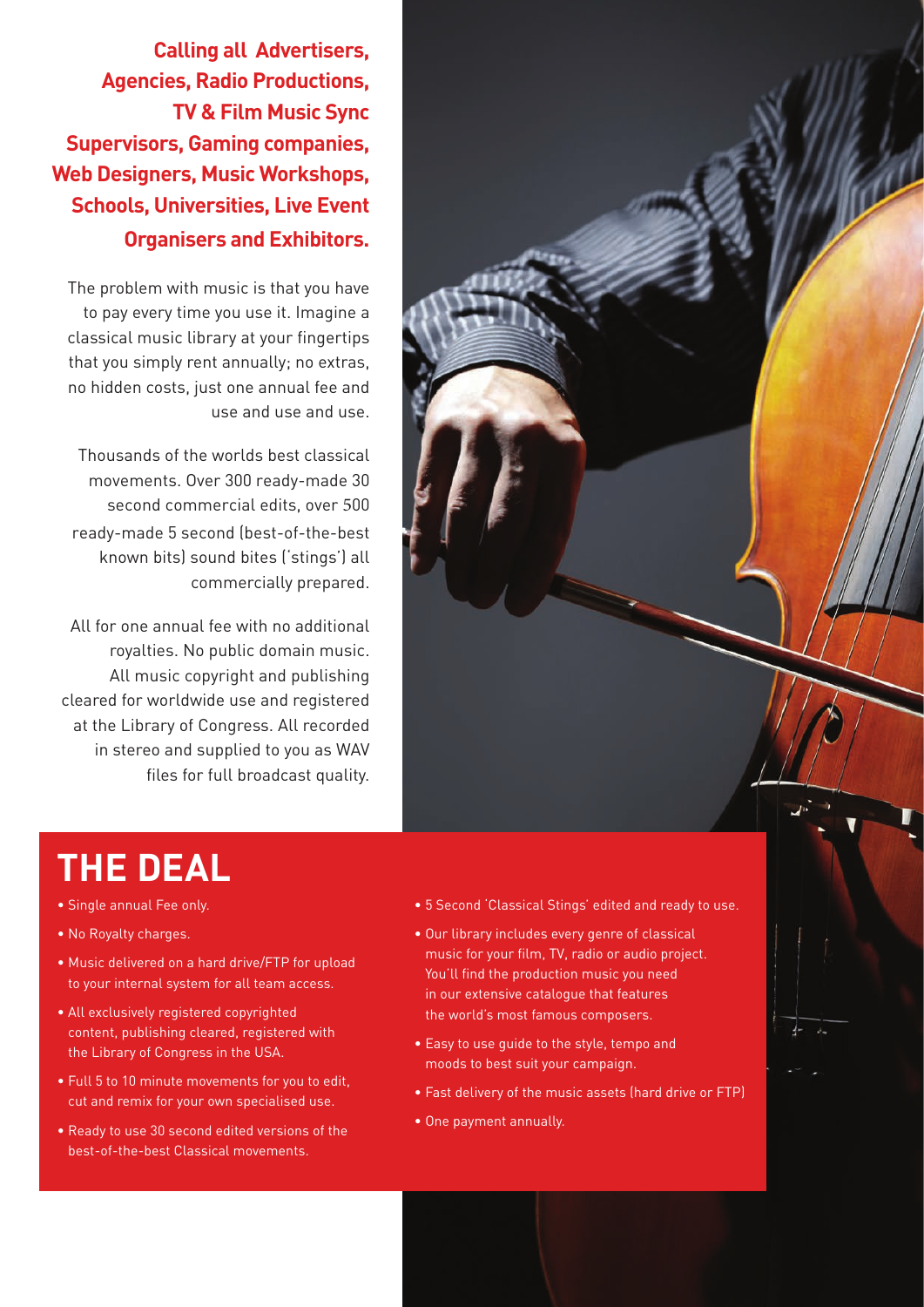**Calling all Advertisers, Agencies, Radio Productions, TV & Film Music Sync Supervisors, Gaming companies, Web Designers, Music Workshops, Schools, Universities, Live Event Organisers and Exhibitors.**

The problem with music is that you have to pay every time you use it. Imagine a classical music library at your fingertips that you simply rent annually; no extras, no hidden costs, just one annual fee and use and use and use.

Thousands of the worlds best classical movements. Over 300 ready-made 30 second commercial edits, over 500 ready-made 5 second (best-of-the-best known bits) sound bites ('stings') all commercially prepared.

All for one annual fee with no additional royalties. No public domain music. All music copyright and publishing cleared for worldwide use and registered at the Library of Congress. All recorded in stereo and supplied to you as WAV files for full broadcast quality.

**THE DEAL**

• Single annual Fee only. • No Royalty charges.

#### • 5 Second 'Classical Stings' edited and ready to use.

- Our library includes every genre of classical music for your film, TV, radio or audio project. You'll find the production music you need in our extensive catalogue that features the world's most famous composers.
- Easy to use guide to the style, tempo and moods to best suit your campaign.
- Fast delivery of the music assets (hard drive or FTP)
- One payment annually.
- Ready to use 30 second edited versions of the best-of-the-best Classical movements.

• Full 5 to 10 minute movements for you to edit, cut and remix for your own specialised use.

• Music delivered on a hard drive/FTP for upload to your internal system for all team access.

• All exclusively registered copyrighted content, publishing cleared, registered with

the Library of Congress in the USA.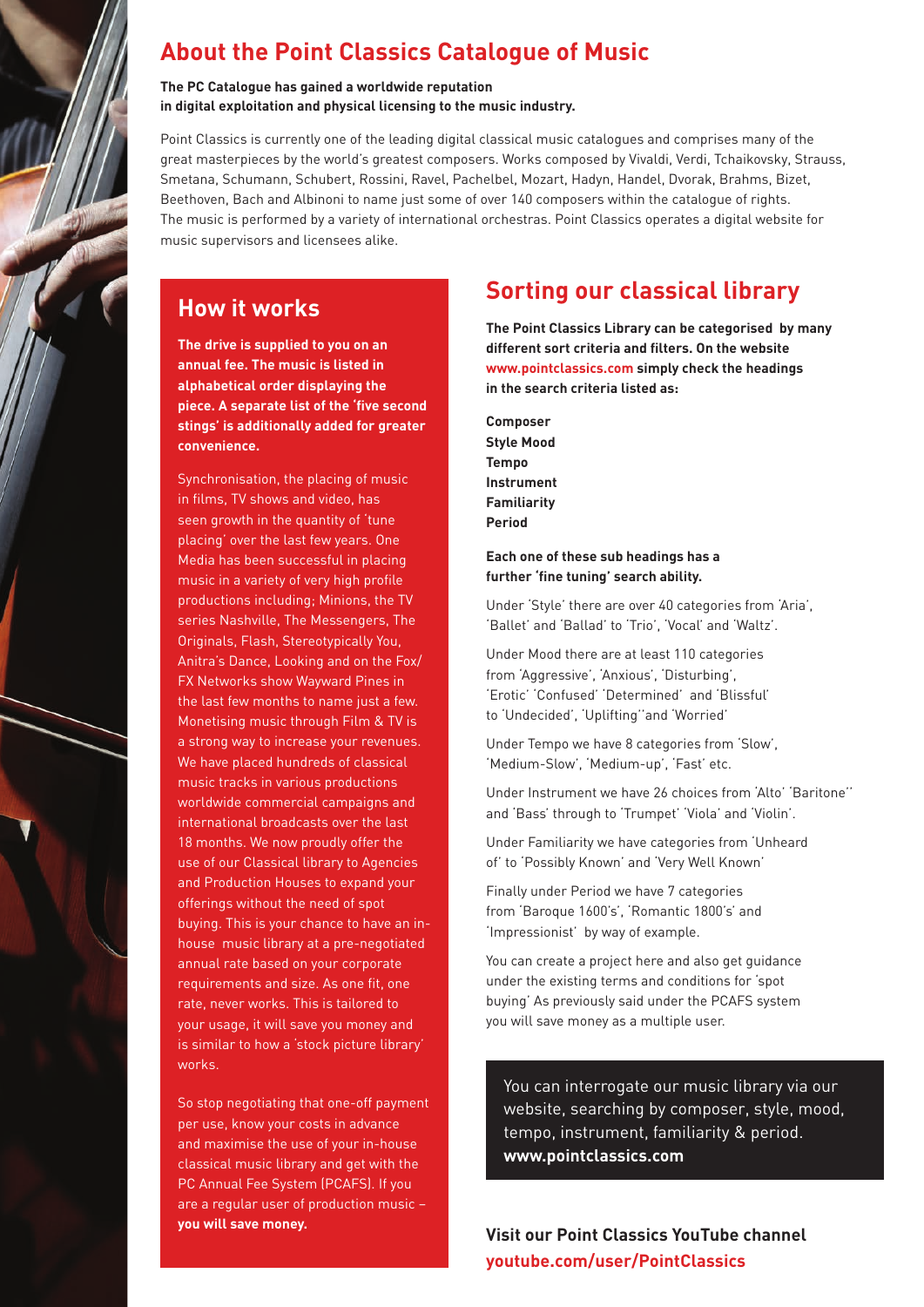# **About the Point Classics Catalogue of Music**

**The PC Catalogue has gained a worldwide reputation in digital exploitation and physical licensing to the music industry.** 

Point Classics is currently one of the leading digital classical music catalogues and comprises many of the great masterpieces by the world's greatest composers. Works composed by Vivaldi, Verdi, Tchaikovsky, Strauss, Smetana, Schumann, Schubert, Rossini, Ravel, Pachelbel, Mozart, Hadyn, Handel, Dvorak, Brahms, Bizet, Beethoven, Bach and Albinoni to name just some of over 140 composers within the catalogue of rights. The music is performed by a variety of international orchestras. Point Classics operates a digital website for music supervisors and licensees alike.

## **How it works**

**The drive is supplied to you on an annual fee. The music is listed in alphabetical order displaying the piece. A separate list of the 'five second stings' is additionally added for greater convenience.**

Synchronisation, the placing of music in films, TV shows and video, has seen growth in the quantity of 'tune placing' over the last few years. One Media has been successful in placing music in a variety of very high profile productions including; Minions, the TV series Nashville, The Messengers, The Originals, Flash, Stereotypically You, Anitra's Dance, Looking and on the Fox/ FX Networks show Wayward Pines in the last few months to name just a few. Monetising music through Film & TV is a strong way to increase your revenues. We have placed hundreds of classical music tracks in various productions worldwide commercial campaigns and international broadcasts over the last 18 months. We now proudly offer the use of our Classical library to Agencies and Production Houses to expand your offerings without the need of spot buying. This is your chance to have an inhouse music library at a pre-negotiated annual rate based on your corporate requirements and size. As one fit, one rate, never works. This is tailored to your usage, it will save you money and is similar to how a 'stock picture library' works.

So stop negotiating that one-off payment per use, know your costs in advance and maximise the use of your in-house classical music library and get with the PC Annual Fee System (PCAFS). If you are a regular user of production music – **you will save money.** 

# **Sorting our classical library**

**The Point Classics Library can be categorised by many different sort criteria and filters. On the website www.pointclassics.com simply check the headings in the search criteria listed as:** 

**Composer Style Mood Tempo Instrument Familiarity Period**

### **Each one of these sub headings has a further 'fine tuning' search ability.**

Under 'Style' there are over 40 categories from 'Aria', 'Ballet' and 'Ballad' to 'Trio', 'Vocal' and 'Waltz'.

Under Mood there are at least 110 categories from 'Aggressive', 'Anxious', 'Disturbing', 'Erotic' 'Confused' 'Determined' and 'Blissful' to 'Undecided', 'Uplifting''and 'Worried'

Under Tempo we have 8 categories from 'Slow', 'Medium-Slow', 'Medium-up', 'Fast' etc.

Under Instrument we have 26 choices from 'Alto' 'Baritone'' and 'Bass' through to 'Trumpet' 'Viola' and 'Violin'.

Under Familiarity we have categories from 'Unheard of' to 'Possibly Known' and 'Very Well Known'

Finally under Period we have 7 categories from 'Baroque 1600's', 'Romantic 1800's' and 'Impressionist' by way of example.

You can create a project here and also get guidance under the existing terms and conditions for 'spot buying' As previously said under the PCAFS system you will save money as a multiple user.

You can interrogate our music library via our website, searching by composer, style, mood, tempo, instrument, familiarity & period. **www.pointclassics.com** 

**Visit our Point Classics YouTube channel youtube.com/user/PointClassics**